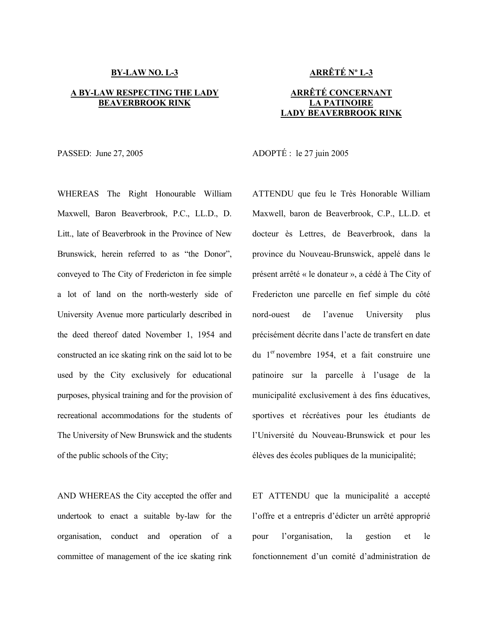### **BY-LAW NO. L-3**

### **A BY-LAW RESPECTING THE LADY BEAVERBROOK RINK**

WHEREAS The Right Honourable William Maxwell, Baron Beaverbrook, P.C., LL.D., D. Litt., late of Beaverbrook in the Province of New Brunswick, herein referred to as "the Donor", conveyed to The City of Fredericton in fee simple a lot of land on the north-westerly side of University Avenue more particularly described in the deed thereof dated November 1, 1954 and constructed an ice skating rink on the said lot to be used by the City exclusively for educational purposes, physical training and for the provision of recreational accommodations for the students of The University of New Brunswick and the students of the public schools of the City;

AND WHEREAS the City accepted the offer and undertook to enact a suitable by-law for the organisation, conduct and operation of a committee of management of the ice skating rink

# **ARRÊTÉ Nº L-3**

# **ARRÊTÉ CONCERNANT LA PATINOIRE LADY BEAVERBROOK RINK**

PASSED: June 27, 2005 ADOPTÉ : le 27 juin 2005

ATTENDU que feu le Très Honorable William Maxwell, baron de Beaverbrook, C.P., LL.D. et docteur ès Lettres, de Beaverbrook, dans la province du Nouveau-Brunswick, appelé dans le présent arrêté « le donateur », a cédé à The City of Fredericton une parcelle en fief simple du côté nord-ouest de l'avenue University plus précisément décrite dans l'acte de transfert en date du 1er novembre 1954, et a fait construire une patinoire sur la parcelle à l'usage de la municipalité exclusivement à des fins éducatives, sportives et récréatives pour les étudiants de l'Université du Nouveau-Brunswick et pour les élèves des écoles publiques de la municipalité;

ET ATTENDU que la municipalité a accepté l'offre et a entrepris d'édicter un arrêté approprié pour l'organisation, la gestion et le fonctionnement d'un comité d'administration de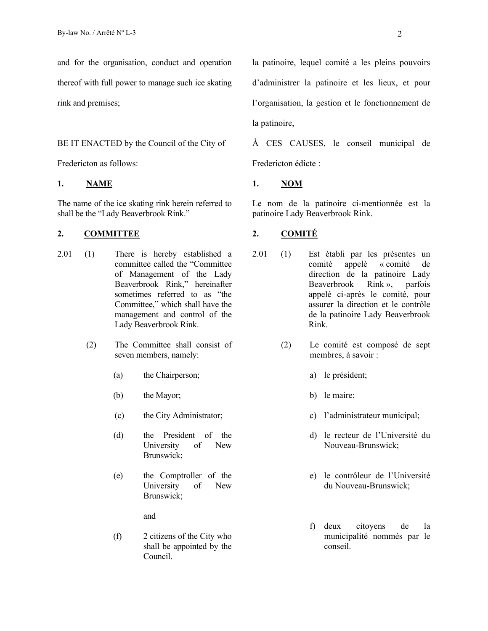and for the organisation, conduct and operation thereof with full power to manage such ice skating rink and premises;

### BE IT ENACTED by the Council of the City of

Fredericton as follows:

# **1. NAME 1. NOM**

The name of the ice skating rink herein referred to shall be the "Lady Beaverbrook Rink."

### **2. COMMITTEE 2. COMITÉ**

- 2.01 (1) There is hereby established a committee called the "Committee of Management of the Lady Beaverbrook Rink," hereinafter sometimes referred to as "the Committee," which shall have the management and control of the Lady Beaverbrook Rink.
	- (2) The Committee shall consist of seven members, namely:
		- (a) the Chairperson;
		- (b) the Mayor;
		- (c) the City Administrator;
		- (d) the President of the University of New Brunswick;
		- (e) the Comptroller of the University of New Brunswick;

and

 (f) 2 citizens of the City who shall be appointed by the Council.

la patinoire, lequel comité a les pleins pouvoirs d'administrer la patinoire et les lieux, et pour l'organisation, la gestion et le fonctionnement de la patinoire,

À CES CAUSES, le conseil municipal de Fredericton édicte :

Le nom de la patinoire ci-mentionnée est la patinoire Lady Beaverbrook Rink.

- 2.01 (1) Est établi par les présentes un comité appelé « comité de direction de la patinoire Lady Beaverbrook Rink », parfois appelé ci-après le comité, pour assurer la direction et le contrôle de la patinoire Lady Beaverbrook Rink.
	- (2) Le comité est composé de sept membres, à savoir :
		- a) le président;
		- b) le maire;
		- c) l'administrateur municipal;
		- d) le recteur de l'Université du Nouveau-Brunswick;
		- e) le contrôleur de l'Université du Nouveau-Brunswick;
		- f) deux citoyens de la municipalité nommés par le conseil.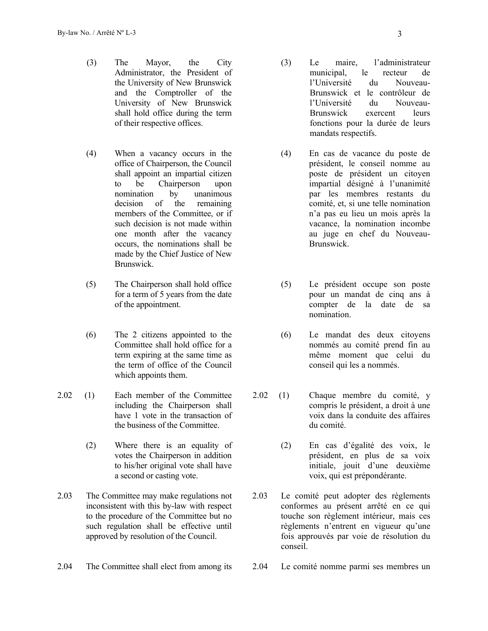- (3) The Mayor, the City Administrator, the President of the University of New Brunswick and the Comptroller of the University of New Brunswick shall hold office during the term of their respective offices.
- (4) When a vacancy occurs in the office of Chairperson, the Council shall appoint an impartial citizen to be Chairperson upon nomination by unanimous decision of the remaining members of the Committee, or if such decision is not made within one month after the vacancy occurs, the nominations shall be made by the Chief Justice of New Brunswick.
- (5) The Chairperson shall hold office for a term of 5 years from the date of the appointment.
- (6) The 2 citizens appointed to the Committee shall hold office for a term expiring at the same time as the term of office of the Council which appoints them.
- 2.02 (1) Each member of the Committee including the Chairperson shall have 1 vote in the transaction of the business of the Committee.
	- (2) Where there is an equality of votes the Chairperson in addition to his/her original vote shall have a second or casting vote.
- 2.03 The Committee may make regulations not inconsistent with this by-law with respect to the procedure of the Committee but no such regulation shall be effective until approved by resolution of the Council.
- 2.04 The Committee shall elect from among its 2.04 Le comité nomme parmi ses membres un
- (3) Le maire, l'administrateur municipal, le recteur de l'Université du Nouveau-Brunswick et le contrôleur de l'Université du Nouveau-Brunswick exercent leurs fonctions pour la durée de leurs mandats respectifs.
- (4) En cas de vacance du poste de président, le conseil nomme au poste de président un citoyen impartial désigné à l'unanimité par les membres restants du comité, et, si une telle nomination n'a pas eu lieu un mois après la vacance, la nomination incombe au juge en chef du Nouveau-Brunswick.
- (5) Le président occupe son poste pour un mandat de cinq ans à compter de la date de sa nomination.
- (6) Le mandat des deux citoyens nommés au comité prend fin au même moment que celui du conseil qui les a nommés.
- 2.02 (1) Chaque membre du comité, y compris le président, a droit à une voix dans la conduite des affaires du comité.
	- (2) En cas d'égalité des voix, le président, en plus de sa voix initiale, jouit d'une deuxième voix, qui est prépondérante.
- 2.03 Le comité peut adopter des règlements conformes au présent arrêté en ce qui touche son règlement intérieur, mais ces règlements n'entrent en vigueur qu'une fois approuvés par voie de résolution du conseil.
-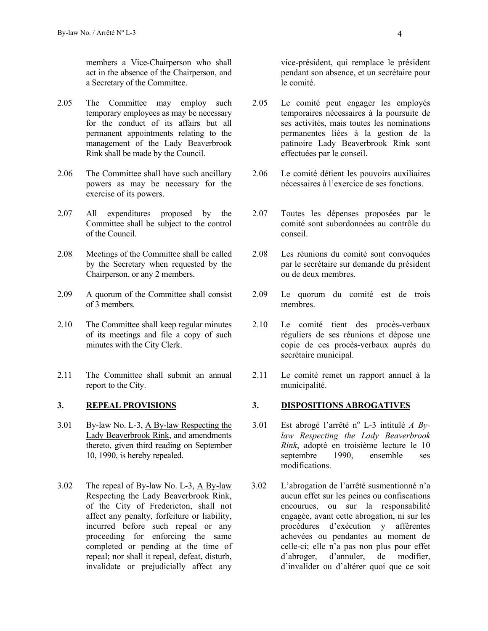members a Vice-Chairperson who shall act in the absence of the Chairperson, and a Secretary of the Committee.

- 2.05 The Committee may employ such temporary employees as may be necessary for the conduct of its affairs but all permanent appointments relating to the management of the Lady Beaverbrook Rink shall be made by the Council.
- 2.06 The Committee shall have such ancillary powers as may be necessary for the exercise of its powers.
- 2.07 All expenditures proposed by the Committee shall be subject to the control of the Council.
- 2.08 Meetings of the Committee shall be called by the Secretary when requested by the Chairperson, or any 2 members.
- 2.09 A quorum of the Committee shall consist of 3 members.
- 2.10 The Committee shall keep regular minutes of its meetings and file a copy of such minutes with the City Clerk.
- 2.11 The Committee shall submit an annual report to the City.

- 3.01 By-law No. L-3, A By-law Respecting the Lady Beaverbrook Rink, and amendments thereto, given third reading on September 10, 1990, is hereby repealed.
- 3.02 The repeal of By-law No. L-3, A By-law Respecting the Lady Beaverbrook Rink, of the City of Fredericton, shall not affect any penalty, forfeiture or liability, incurred before such repeal or any proceeding for enforcing the same completed or pending at the time of repeal; nor shall it repeal, defeat, disturb, invalidate or prejudicially affect any

vice-président, qui remplace le président pendant son absence, et un secrétaire pour le comité.

- 2.05 Le comité peut engager les employés temporaires nécessaires à la poursuite de ses activités, mais toutes les nominations permanentes liées à la gestion de la patinoire Lady Beaverbrook Rink sont effectuées par le conseil.
- 2.06 Le comité détient les pouvoirs auxiliaires nécessaires à l'exercice de ses fonctions.
- 2.07 Toutes les dépenses proposées par le comité sont subordonnées au contrôle du conseil.
- 2.08 Les réunions du comité sont convoquées par le secrétaire sur demande du président ou de deux membres.
- 2.09 Le quorum du comité est de trois membres.
- 2.10 Le comité tient des procès-verbaux réguliers de ses réunions et dépose une copie de ces procès-verbaux auprès du secrétaire municipal.
- 2.11 Le comité remet un rapport annuel à la municipalité.

# **3. REPEAL PROVISIONS 3. DISPOSITIONS ABROGATIVES**

- 3.01 Est abrogé l'arrêté n<sup>o</sup> L-3 intitulé *A Bylaw Respecting the Lady Beaverbrook Rink*, adopté en troisième lecture le 10 septembre 1990, ensemble ses modifications.
- 3.02 L'abrogation de l'arrêté susmentionné n'a aucun effet sur les peines ou confiscations encourues, ou sur la responsabilité engagée, avant cette abrogation, ni sur les procédures d'exécution y afférentes achevées ou pendantes au moment de celle-ci; elle n'a pas non plus pour effet d'abroger, d'annuler, de modifier, d'invalider ou d'altérer quoi que ce soit